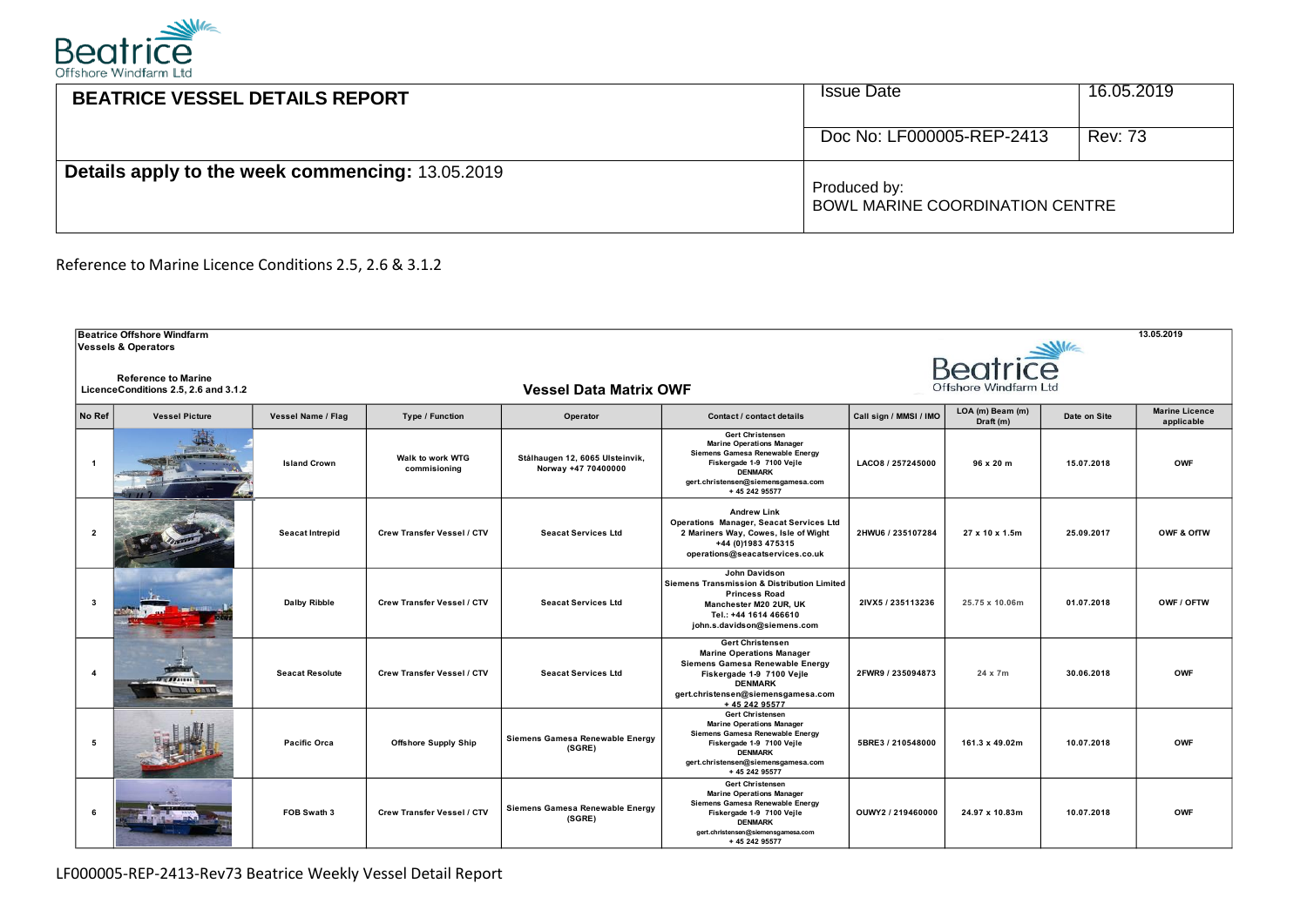

| <b>BEATRICE VESSEL DETAILS REPORT</b>            | <b>Issue Date</b>                               | 16.05.2019     |
|--------------------------------------------------|-------------------------------------------------|----------------|
|                                                  | Doc No: LF000005-REP-2413                       | <b>Rev: 73</b> |
| Details apply to the week commencing: 13.05.2019 | Produced by:<br>BOWL MARINE COORDINATION CENTRE |                |

Reference to Marine Licence Conditions 2.5, 2.6 & 3.1.2

|                         | Beatrice Offshore Windfarm<br><b>Vessels &amp; Operators</b>                                                    |                        |                                   |                                                        |                                                                                                                                                                                                       |                        |                               |              | 13.05.2019                          |
|-------------------------|-----------------------------------------------------------------------------------------------------------------|------------------------|-----------------------------------|--------------------------------------------------------|-------------------------------------------------------------------------------------------------------------------------------------------------------------------------------------------------------|------------------------|-------------------------------|--------------|-------------------------------------|
|                         | Beatrice<br><b>Reference to Marine</b><br><b>Vessel Data Matrix OWF</b><br>LicenceConditions 2.5, 2.6 and 3.1.2 |                        |                                   |                                                        |                                                                                                                                                                                                       |                        |                               |              |                                     |
| No Ref                  | <b>Vessel Picture</b>                                                                                           | Vessel Name / Flag     | <b>Type / Function</b>            | Operator                                               | Contact / contact details                                                                                                                                                                             | Call sign / MMSI / IMO | LOA (m) Beam (m)<br>Draft (m) | Date on Site | <b>Marine Licence</b><br>applicable |
| $\overline{\mathbf{1}}$ |                                                                                                                 | <b>Island Crown</b>    | Walk to work WTG<br>commisioning  | Stålhaugen 12, 6065 Ulsteinvik,<br>Norway +47 70400000 | <b>Gert Christensen</b><br><b>Marine Operations Manager</b><br>Siemens Gamesa Renewable Energy<br>Fiskergade 1-9 7100 Vejle<br><b>DENMARK</b><br>gert.christensen@siemensgamesa.com<br>+ 45 242 95577 | LACO8 / 257245000      | 96 x 20 m                     | 15.07.2018   | OWF                                 |
| $\overline{2}$          |                                                                                                                 | <b>Seacat Intrepid</b> | <b>Crew Transfer Vessel / CTV</b> | <b>Seacat Services Ltd</b>                             | <b>Andrew Link</b><br>Operations Manager, Seacat Services Ltd<br>2 Mariners Way, Cowes, Isle of Wight<br>+44 (0)1983 475315<br>operations@seacatservices.co.uk                                        | 2HWU6 / 235107284      | 27 x 10 x 1.5m                | 25.09.2017   | OWF & OfTW                          |
| -3                      |                                                                                                                 | <b>Dalby Ribble</b>    | <b>Crew Transfer Vessel / CTV</b> | <b>Seacat Services Ltd</b>                             | John Davidson<br>Siemens Transmission & Distribution Limited<br><b>Princess Road</b><br>Manchester M20 2UR, UK<br>Tel.: +44 1614 466610<br>john.s.davidson@siemens.com                                | 2IVX5 / 235113236      | 25.75 x 10.06m                | 01.07.2018   | OWF / OFTW                          |
| $\overline{4}$          |                                                                                                                 | <b>Seacat Resolute</b> | <b>Crew Transfer Vessel / CTV</b> | <b>Seacat Services Ltd</b>                             | <b>Gert Christensen</b><br><b>Marine Operations Manager</b><br>Siemens Gamesa Renewable Energy<br>Fiskergade 1-9 7100 Vejle<br><b>DENMARK</b><br>gert.christensen@siemensgamesa.com<br>+45 242 95577  | 2FWR9 / 235094873      | 24 x 7m                       | 30.06.2018   | <b>OWF</b>                          |
| 5                       |                                                                                                                 | <b>Pacific Orca</b>    | <b>Offshore Supply Ship</b>       | Siemens Gamesa Renewable Energy<br>(SGRE)              | Gert Christensen<br><b>Marine Operations Manager</b><br>Siemens Gamesa Renewable Energy<br>Fiskergade 1-9 7100 Vejle<br><b>DENMARK</b><br>gert.christensen@siemensgamesa.com<br>+ 45 242 95577        | 5BRE3 / 210548000      | 161.3 x 49.02m                | 10.07.2018   | <b>OWF</b>                          |
| 6                       |                                                                                                                 | FOB Swath 3            | Crew Transfer Vessel / CTV        | Siemens Gamesa Renewable Energy<br>(SGRE)              | <b>Gert Christensen</b><br><b>Marine Operations Manager</b><br>Siemens Gamesa Renewable Energy<br>Fiskergade 1-9 7100 Vejle<br><b>DENMARK</b><br>gert.christensen@siemensgamesa.com<br>+ 45 242 95577 | OUWY2 / 219460000      | 24.97 x 10.83m                | 10.07.2018   | OWF                                 |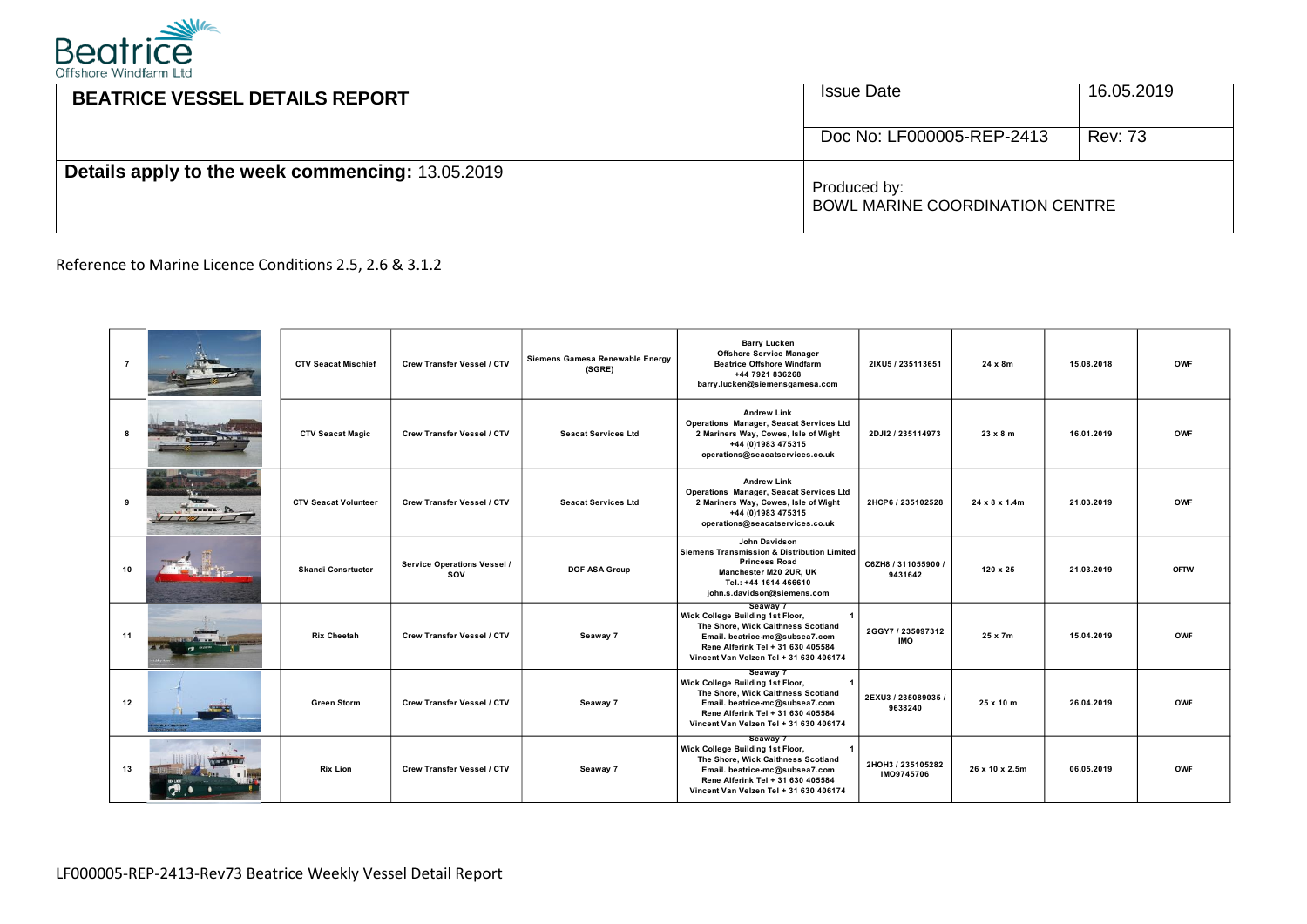

| <b>BEATRICE VESSEL DETAILS REPORT</b>            | <b>Issue Date</b>                               | 16.05.2019     |
|--------------------------------------------------|-------------------------------------------------|----------------|
|                                                  | Doc No: LF000005-REP-2413                       | <b>Rev: 73</b> |
| Details apply to the week commencing: 13.05.2019 | Produced by:<br>BOWL MARINE COORDINATION CENTRE |                |

Reference to Marine Licence Conditions 2.5, 2.6 & 3.1.2

| $\overline{7}$ |                 | <b>CTV Seacat Mischief</b>  | Crew Transfer Vessel / CTV         | Siemens Gamesa Renewable Energy<br>(SGRE) | <b>Barry Lucken</b><br><b>Offshore Service Manager</b><br><b>Beatrice Offshore Windfarm</b><br>+44 7921 836268<br>barry.lucken@siemensgamesa.com                                                    | 2IXU5 / 235113651               | $24 \times 8m$  | 15.08.2018 | OWF         |
|----------------|-----------------|-----------------------------|------------------------------------|-------------------------------------------|-----------------------------------------------------------------------------------------------------------------------------------------------------------------------------------------------------|---------------------------------|-----------------|------------|-------------|
|                |                 | <b>CTV Seacat Magic</b>     | <b>Crew Transfer Vessel / CTV</b>  | <b>Seacat Services Ltd</b>                | <b>Andrew Link</b><br><b>Operations Manager, Seacat Services Ltd</b><br>2 Mariners Way, Cowes, Isle of Wight<br>+44 (0)1983 475315<br>operations@seacatservices.co.uk                               | 2DJI2 / 235114973               | $23 \times 8$ m | 16.01.2019 | <b>OWF</b>  |
| 9              | A ANNA I<br>117 | <b>CTV Seacat Volunteer</b> | <b>Crew Transfer Vessel / CTV</b>  | <b>Seacat Services Ltd</b>                | <b>Andrew Link</b><br>Operations Manager, Seacat Services Ltd<br>2 Mariners Way, Cowes, Isle of Wight<br>+44 (0)1983 475315<br>operations@seacatservices.co.uk                                      | 2HCP6 / 235102528               | 24 x 8 x 1.4m   | 21.03.2019 | <b>OWF</b>  |
| 10             |                 | <b>Skandi Consrtuctor</b>   | Service Operations Vessel /<br>SOV | <b>DOF ASA Group</b>                      | John Davidson<br>Siemens Transmission & Distribution Limited<br><b>Princess Road</b><br>Manchester M20 2UR. UK<br>Tel.: +44 1614 466610<br>john.s.davidson@siemens.com                              | C6ZH8 / 311055900 /<br>9431642  | $120 \times 25$ | 21.03.2019 | <b>OFTW</b> |
| 11             |                 | <b>Rix Cheetah</b>          | <b>Crew Transfer Vessel / CTV</b>  | Seaway 7                                  | Seaway 7<br>Wick College Building 1st Floor,<br>The Shore, Wick Caithness Scotland<br>Email. beatrice-mc@subsea7.com<br>Rene Alferink Tel + 31 630 405584<br>Vincent Van Velzen Tel + 31 630 406174 | 2GGY7 / 235097312<br><b>IMO</b> | 25 x 7m         | 15.04.2019 | OWF         |
| 12             |                 | <b>Green Storm</b>          | <b>Crew Transfer Vessel / CTV</b>  | Seaway 7                                  | Seaway 7<br>Wick College Building 1st Floor,<br>The Shore, Wick Caithness Scotland<br>Email. beatrice-mc@subsea7.com<br>Rene Alferink Tel + 31 630 405584<br>Vincent Van Velzen Tel + 31 630 406174 | 2EXU3 / 235089035 /<br>9638240  | 25 x 10 m       | 26.04.2019 | <b>OWF</b>  |
| 13             |                 | <b>Rix Lion</b>             | <b>Crew Transfer Vessel / CTV</b>  | Seaway 7                                  | Seaway 7<br>Wick College Building 1st Floor,<br>The Shore, Wick Caithness Scotland<br>Email. beatrice-mc@subsea7.com<br>Rene Alferink Tel + 31 630 405584<br>Vincent Van Velzen Tel + 31 630 406174 | 2HOH3 / 235105282<br>IMO9745706 | 26 x 10 x 2.5m  | 06.05.2019 | <b>OWF</b>  |